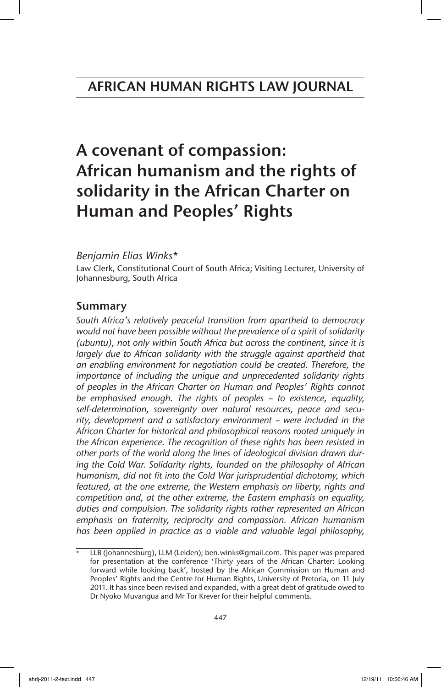# A covenant of compassion: African humanism and the rights of solidarity in the African Charter on Human and Peoples' Rights

### *Benjamin Elias Winks*\*

Law Clerk, Constitutional Court of South Africa; Visiting Lecturer, University of Johannesburg, South Africa

# Summary

*South Africa's relatively peaceful transition from apartheid to democracy would not have been possible without the prevalence of a spirit of solidarity (ubuntu), not only within South Africa but across the continent, since it is*  largely due to African solidarity with the struggle against apartheid that *an enabling environment for negotiation could be created. Therefore, the importance of including the unique and unprecedented solidarity rights of peoples in the African Charter on Human and Peoples' Rights cannot be emphasised enough. The rights of peoples – to existence, equality, self-determination, sovereignty over natural resources, peace and security, development and a satisfactory environment – were included in the African Charter for historical and philosophical reasons rooted uniquely in the African experience. The recognition of these rights has been resisted in other parts of the world along the lines of ideological division drawn during the Cold War. Solidarity rights, founded on the philosophy of African humanism, did not fit into the Cold War jurisprudential dichotomy, which featured, at the one extreme, the Western emphasis on liberty, rights and competition and, at the other extreme, the Eastern emphasis on equality, duties and compulsion. The solidarity rights rather represented an African emphasis on fraternity, reciprocity and compassion. African humanism has been applied in practice as a viable and valuable legal philosophy,*

LLB (Johannesburg), LLM (Leiden); ben.winks@gmail.com. This paper was prepared for presentation at the conference 'Thirty years of the African Charter: Looking forward while looking back', hosted by the African Commission on Human and Peoples' Rights and the Centre for Human Rights, University of Pretoria, on 11 July 2011. It has since been revised and expanded, with a great debt of gratitude owed to Dr Nyoko Muvangua and Mr Tor Krever for their helpful comments.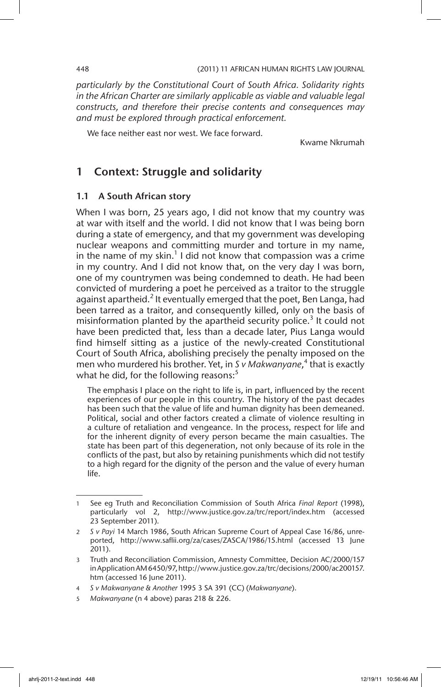*particularly by the Constitutional Court of South Africa. Solidarity rights in the African Charter are similarly applicable as viable and valuable legal constructs, and therefore their precise contents and consequences may and must be explored through practical enforcement.*

We face neither east nor west. We face forward.

Kwame Nkrumah

# 1 Context: Struggle and solidarity

### 1.1 A South African story

When I was born, 25 years ago, I did not know that my country was at war with itself and the world. I did not know that I was being born during a state of emergency, and that my government was developing nuclear weapons and committing murder and torture in my name, in the name of my skin.<sup>1</sup> I did not know that compassion was a crime in my country. And I did not know that, on the very day I was born, one of my countrymen was being condemned to death. He had been convicted of murdering a poet he perceived as a traitor to the struggle against apartheid.<sup>2</sup> It eventually emerged that the poet, Ben Langa, had been tarred as a traitor, and consequently killed, only on the basis of misinformation planted by the apartheid security police.<sup>3</sup> It could not have been predicted that, less than a decade later, Pius Langa would find himself sitting as a justice of the newly-created Constitutional Court of South Africa, abolishing precisely the penalty imposed on the men who murdered his brother. Yet, in *S v Makwanyane*, 4 that is exactly what he did, for the following reasons: $5$ 

The emphasis I place on the right to life is, in part, influenced by the recent experiences of our people in this country. The history of the past decades has been such that the value of life and human dignity has been demeaned. Political, social and other factors created a climate of violence resulting in a culture of retaliation and vengeance. In the process, respect for life and for the inherent dignity of every person became the main casualties. The state has been part of this degeneration, not only because of its role in the conflicts of the past, but also by retaining punishments which did not testify to a high regard for the dignity of the person and the value of every human life.

<sup>1</sup> See eg Truth and Reconciliation Commission of South Africa *Final Report* (1998), particularly vol 2, http://www.justice.gov.za/trc/report/index.htm (accessed 23 September 2011).

<sup>2</sup> *S v Payi* 14 March 1986, South African Supreme Court of Appeal Case 16/86, unreported, http://www.saflii.org/za/cases/ZASCA/1986/15.html (accessed 13 June 2011).

<sup>3</sup> Truth and Reconciliation Commission, Amnesty Committee, Decision AC/2000/157 in Application AM 6450/97, http://www.justice.gov.za/trc/decisions/2000/ac200157. htm (accessed 16 June 2011).

<sup>4</sup> *S v Makwanyane & Another* 1995 3 SA 391 (CC) (*Makwanyane*).

<sup>5</sup> *Makwanyane* (n 4 above) paras 218 & 226.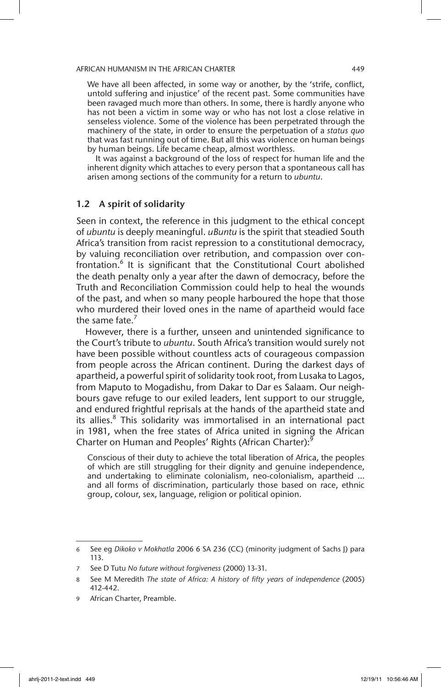We have all been affected, in some way or another, by the 'strife, conflict, untold suffering and injustice' of the recent past. Some communities have been ravaged much more than others. In some, there is hardly anyone who has not been a victim in some way or who has not lost a close relative in senseless violence. Some of the violence has been perpetrated through the machinery of the state, in order to ensure the perpetuation of a *status quo*  that was fast running out of time. But all this was violence on human beings by human beings. Life became cheap, almost worthless.

It was against a background of the loss of respect for human life and the inherent dignity which attaches to every person that a spontaneous call has arisen among sections of the community for a return to *ubuntu*.

### 1.2 A spirit of solidarity

Seen in context, the reference in this judgment to the ethical concept of *ubuntu* is deeply meaningful. *uBuntu* is the spirit that steadied South Africa's transition from racist repression to a constitutional democracy, by valuing reconciliation over retribution, and compassion over confrontation.<sup>6</sup> It is significant that the Constitutional Court abolished the death penalty only a year after the dawn of democracy, before the Truth and Reconciliation Commission could help to heal the wounds of the past, and when so many people harboured the hope that those who murdered their loved ones in the name of apartheid would face the same fate.<sup>7</sup>

However, there is a further, unseen and unintended significance to the Court's tribute to *ubuntu*. South Africa's transition would surely not have been possible without countless acts of courageous compassion from people across the African continent. During the darkest days of apartheid, a powerful spirit of solidarity took root, from Lusaka to Lagos, from Maputo to Mogadishu, from Dakar to Dar es Salaam. Our neighbours gave refuge to our exiled leaders, lent support to our struggle, and endured frightful reprisals at the hands of the apartheid state and its allies.<sup>8</sup> This solidarity was immortalised in an international pact in 1981, when the free states of Africa united in signing the African Charter on Human and Peoples' Rights (African Charter):<sup>9</sup>

Conscious of their duty to achieve the total liberation of Africa, the peoples of which are still struggling for their dignity and genuine independence, and undertaking to eliminate colonialism, neo-colonialism, apartheid … and all forms of discrimination, particularly those based on race, ethnic group, colour, sex, language, religion or political opinion.

<sup>6</sup> See eg *Dikoko v Mokhatla* 2006 6 SA 236 (CC) (minority judgment of Sachs J) para 113.

<sup>7</sup> See D Tutu *No future without forgiveness* (2000) 13-31.

<sup>8</sup> See M Meredith *The state of Africa: A history of fifty years of independence* (2005) 412-442.

<sup>9</sup> African Charter, Preamble.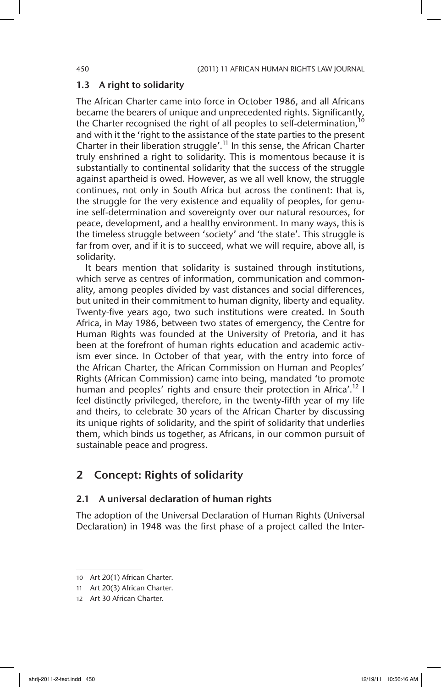### 1.3 A right to solidarity

The African Charter came into force in October 1986, and all Africans became the bearers of unique and unprecedented rights. Significantly, the Charter recognised the right of all peoples to self-determination,<sup>10</sup> and with it the 'right to the assistance of the state parties to the present Charter in their liberation struggle'.<sup>11</sup> In this sense, the African Charter truly enshrined a right to solidarity. This is momentous because it is substantially to continental solidarity that the success of the struggle against apartheid is owed. However, as we all well know, the struggle continues, not only in South Africa but across the continent: that is, the struggle for the very existence and equality of peoples, for genuine self-determination and sovereignty over our natural resources, for peace, development, and a healthy environment. In many ways, this is the timeless struggle between 'society' and 'the state'. This struggle is far from over, and if it is to succeed, what we will require, above all, is solidarity.

It bears mention that solidarity is sustained through institutions, which serve as centres of information, communication and commonality, among peoples divided by vast distances and social differences, but united in their commitment to human dignity, liberty and equality. Twenty-five years ago, two such institutions were created. In South Africa, in May 1986, between two states of emergency, the Centre for Human Rights was founded at the University of Pretoria, and it has been at the forefront of human rights education and academic activism ever since. In October of that year, with the entry into force of the African Charter, the African Commission on Human and Peoples' Rights (African Commission) came into being, mandated 'to promote human and peoples' rights and ensure their protection in Africa'.<sup>12</sup> I feel distinctly privileged, therefore, in the twenty-fifth year of my life and theirs, to celebrate 30 years of the African Charter by discussing its unique rights of solidarity, and the spirit of solidarity that underlies them, which binds us together, as Africans, in our common pursuit of sustainable peace and progress.

# 2 Concept: Rights of solidarity

### 2.1 A universal declaration of human rights

The adoption of the Universal Declaration of Human Rights (Universal Declaration) in 1948 was the first phase of a project called the Inter-

<sup>10</sup> Art 20(1) African Charter.

<sup>11</sup> Art 20(3) African Charter.

<sup>12</sup> Art 30 African Charter.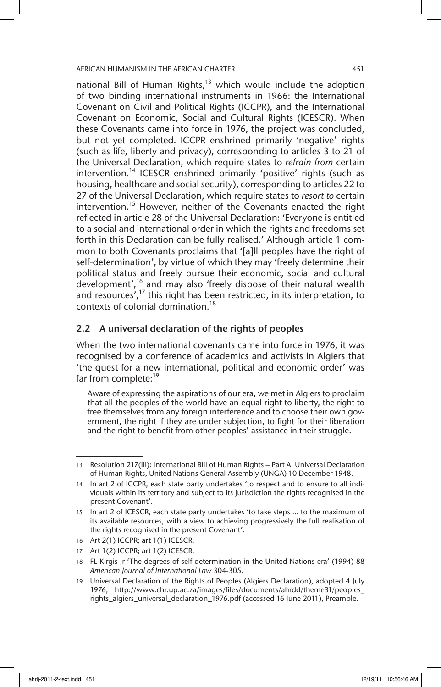national Bill of Human Rights, $13$  which would include the adoption of two binding international instruments in 1966: the International Covenant on Civil and Political Rights (ICCPR), and the International Covenant on Economic, Social and Cultural Rights (ICESCR). When these Covenants came into force in 1976, the project was concluded, but not yet completed. ICCPR enshrined primarily 'negative' rights (such as life, liberty and privacy), corresponding to articles 3 to 21 of the Universal Declaration, which require states to *refrain from* certain intervention.<sup>14</sup> ICESCR enshrined primarily 'positive' rights (such as housing, healthcare and social security), corresponding to articles 22 to 27 of the Universal Declaration, which require states to *resort to* certain intervention.<sup>15</sup> However, neither of the Covenants enacted the right reflected in article 28 of the Universal Declaration: 'Everyone is entitled to a social and international order in which the rights and freedoms set forth in this Declaration can be fully realised.' Although article 1 common to both Covenants proclaims that '[a]ll peoples have the right of self-determination', by virtue of which they may 'freely determine their political status and freely pursue their economic, social and cultural development',16 and may also 'freely dispose of their natural wealth and resources', $17$  this right has been restricted, in its interpretation, to contexts of colonial domination.<sup>18</sup>

### 2.2 A universal declaration of the rights of peoples

When the two international covenants came into force in 1976, it was recognised by a conference of academics and activists in Algiers that 'the quest for a new international, political and economic order' was far from complete:<sup>19</sup>

Aware of expressing the aspirations of our era, we met in Algiers to proclaim that all the peoples of the world have an equal right to liberty, the right to free themselves from any foreign interference and to choose their own government, the right if they are under subjection, to fight for their liberation and the right to benefit from other peoples' assistance in their struggle.

<sup>13</sup> Resolution 217(III): International Bill of Human Rights – Part A: Universal Declaration of Human Rights, United Nations General Assembly (UNGA) 10 December 1948.

<sup>14</sup> In art 2 of ICCPR, each state party undertakes 'to respect and to ensure to all individuals within its territory and subject to its jurisdiction the rights recognised in the present Covenant'.

<sup>15</sup> In art 2 of ICESCR, each state party undertakes 'to take steps … to the maximum of its available resources, with a view to achieving progressively the full realisation of the rights recognised in the present Covenant'.

<sup>16</sup> Art 2(1) ICCPR; art 1(1) ICESCR.

<sup>17</sup> Art 1(2) ICCPR; art 1(2) ICESCR.

<sup>18</sup> FL Kirgis Jr 'The degrees of self-determination in the United Nations era' (1994) 88 *American Journal of International Law* 304-305.

<sup>19</sup> Universal Declaration of the Rights of Peoples (Algiers Declaration), adopted 4 July 1976, http://www.chr.up.ac.za/images/files/documents/ahrdd/theme31/peoples\_ rights\_algiers\_universal\_declaration\_1976.pdf (accessed 16 June 2011), Preamble.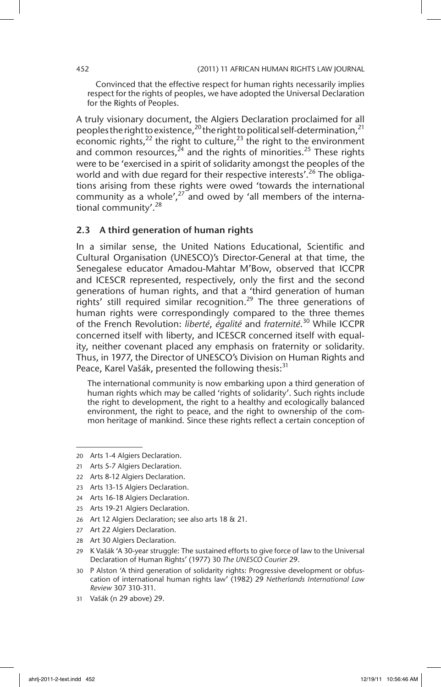Convinced that the effective respect for human rights necessarily implies respect for the rights of peoples, we have adopted the Universal Declaration for the Rights of Peoples.

A truly visionary document, the Algiers Declaration proclaimed for all peoples the right to existence,  $^{20}$  the right to political self-determination,  $^{21}$ economic rights,<sup>22</sup> the right to culture,<sup>23</sup> the right to the environment and common resources,  $^{24}$  and the rights of minorities.<sup>25</sup> These rights were to be 'exercised in a spirit of solidarity amongst the peoples of the world and with due regard for their respective interests'.<sup>26</sup> The obligations arising from these rights were owed 'towards the international community as a whole',<sup>27</sup> and owed by 'all members of the international community'.<sup>28</sup>

### 2.3 A third generation of human rights

In a similar sense, the United Nations Educational, Scientific and Cultural Organisation (UNESCO)'s Director-General at that time, the Senegalese educator Amadou-Mahtar M'Bow, observed that ICCPR and ICESCR represented, respectively, only the first and the second generations of human rights, and that a 'third generation of human rights' still required similar recognition.<sup>29</sup> The three generations of human rights were correspondingly compared to the three themes of the French Revolution: *liberté*, *égalité* and *fraternité*. 30 While ICCPR concerned itself with liberty, and ICESCR concerned itself with equality, neither covenant placed any emphasis on fraternity or solidarity. Thus, in 1977, the Director of UNESCO's Division on Human Rights and Peace, Karel Vašák, presented the following thesis:<sup>31</sup>

The international community is now embarking upon a third generation of human rights which may be called 'rights of solidarity'. Such rights include the right to development, the right to a healthy and ecologically balanced environment, the right to peace, and the right to ownership of the common heritage of mankind. Since these rights reflect a certain conception of

<sup>20</sup> Arts 1-4 Algiers Declaration.

<sup>21</sup> Arts 5-7 Algiers Declaration.

<sup>22</sup> Arts 8-12 Algiers Declaration.

<sup>23</sup> Arts 13-15 Algiers Declaration.

<sup>24</sup> Arts 16-18 Algiers Declaration.

<sup>25</sup> Arts 19-21 Algiers Declaration.

<sup>26</sup> Art 12 Algiers Declaration; see also arts 18 & 21.

<sup>27</sup> Art 22 Algiers Declaration.

<sup>28</sup> Art 30 Algiers Declaration.

<sup>29</sup> K Vašák 'A 30-year struggle: The sustained efforts to give force of law to the Universal Declaration of Human Rights' (1977) 30 *The UNESCO Courier* 29.

<sup>30</sup> P Alston 'A third generation of solidarity rights: Progressive development or obfuscation of international human rights law' (1982) 29 *Netherlands International Law Review* 307 310-311.

<sup>31</sup> Vašák (n 29 above) 29.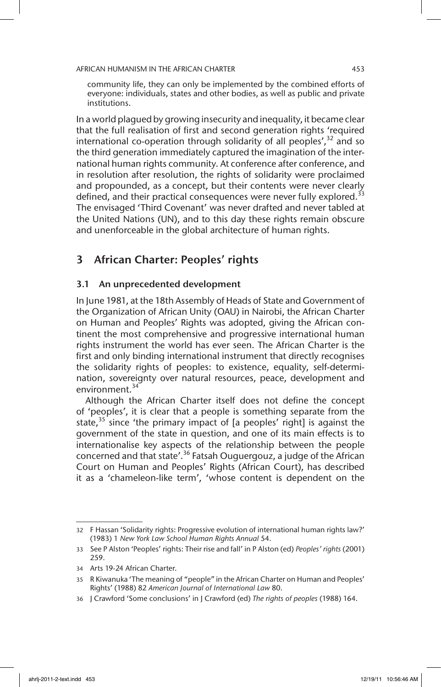community life, they can only be implemented by the combined efforts of everyone: individuals, states and other bodies, as well as public and private institutions.

In a world plagued by growing insecurity and inequality, it became clear that the full realisation of first and second generation rights 'required international co-operation through solidarity of all peoples',  $32$  and so the third generation immediately captured the imagination of the international human rights community. At conference after conference, and in resolution after resolution, the rights of solidarity were proclaimed and propounded, as a concept, but their contents were never clearly defined, and their practical consequences were never fully explored.<sup>33</sup> The envisaged 'Third Covenant' was never drafted and never tabled at the United Nations (UN), and to this day these rights remain obscure and unenforceable in the global architecture of human rights.

# 3 African Charter: Peoples' rights

### 3.1 An unprecedented development

In June 1981, at the 18th Assembly of Heads of State and Government of the Organization of African Unity (OAU) in Nairobi, the African Charter on Human and Peoples' Rights was adopted, giving the African continent the most comprehensive and progressive international human rights instrument the world has ever seen. The African Charter is the first and only binding international instrument that directly recognises the solidarity rights of peoples: to existence, equality, self-determination, sovereignty over natural resources, peace, development and environment.<sup>34</sup>

Although the African Charter itself does not define the concept of 'peoples', it is clear that a people is something separate from the state,<sup>35</sup> since 'the primary impact of [a peoples' right] is against the government of the state in question, and one of its main effects is to internationalise key aspects of the relationship between the people concerned and that state'.<sup>36</sup> Fatsah Ouguergouz, a judge of the African Court on Human and Peoples' Rights (African Court), has described it as a 'chameleon-like term', 'whose content is dependent on the

<sup>32</sup> F Hassan 'Solidarity rights: Progressive evolution of international human rights law?' (1983) 1 *New York Law School Human Rights Annual* 54.

<sup>33</sup> See P Alston 'Peoples' rights: Their rise and fall' in P Alston (ed) *Peoples' rights* (2001) 259.

<sup>34</sup> Arts 19-24 African Charter.

<sup>35</sup> R Kiwanuka 'The meaning of "people" in the African Charter on Human and Peoples' Rights' (1988) 82 *American Journal of International Law* 80.

<sup>36</sup> J Crawford 'Some conclusions' in J Crawford (ed) *The rights of peoples* (1988) 164.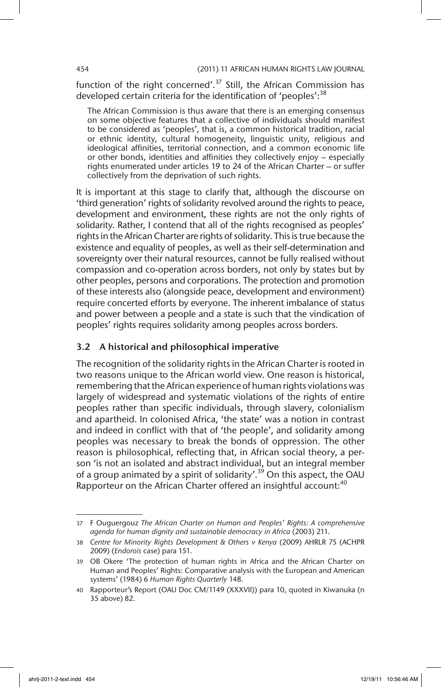function of the right concerned'.<sup>37</sup> Still, the African Commission has developed certain criteria for the identification of 'peoples': $38$ 

The African Commission is thus aware that there is an emerging consensus on some objective features that a collective of individuals should manifest to be considered as 'peoples', that is, a common historical tradition, racial or ethnic identity, cultural homogeneity, linguistic unity, religious and ideological affinities, territorial connection, and a common economic life or other bonds, identities and affinities they collectively enjoy – especially rights enumerated under articles 19 to 24 of the African Charter – or suffer collectively from the deprivation of such rights.

It is important at this stage to clarify that, although the discourse on 'third generation' rights of solidarity revolved around the rights to peace, development and environment, these rights are not the only rights of solidarity. Rather, I contend that all of the rights recognised as peoples' rights in the African Charter are rights of solidarity. This is true because the existence and equality of peoples, as well as their self-determination and sovereignty over their natural resources, cannot be fully realised without compassion and co-operation across borders, not only by states but by other peoples, persons and corporations. The protection and promotion of these interests also (alongside peace, development and environment) require concerted efforts by everyone. The inherent imbalance of status and power between a people and a state is such that the vindication of peoples' rights requires solidarity among peoples across borders.

### 3.2 A historical and philosophical imperative

The recognition of the solidarity rights in the African Charter is rooted in two reasons unique to the African world view. One reason is historical, remembering that the African experience of human rights violations was largely of widespread and systematic violations of the rights of entire peoples rather than specific individuals, through slavery, colonialism and apartheid. In colonised Africa, 'the state' was a notion in contrast and indeed in conflict with that of 'the people', and solidarity among peoples was necessary to break the bonds of oppression. The other reason is philosophical, reflecting that, in African social theory, a person 'is not an isolated and abstract individual, but an integral member of a group animated by a spirit of solidarity'.<sup>39</sup> On this aspect, the OAU Rapporteur on the African Charter offered an insightful account:<sup>40</sup>

<sup>37</sup> F Ouguergouz *The African Charter on Human and Peoples' Rights: A comprehensive agenda for human dignity and sustainable democracy in Africa* (2003) 211.

<sup>38</sup> *Centre for Minority Rights Development & Others v Kenya* (2009) AHRLR 75 (ACHPR 2009) (*Endorois* case) para 151.

<sup>39</sup> OB Okere 'The protection of human rights in Africa and the African Charter on Human and Peoples' Rights: Comparative analysis with the European and American systems' (1984) 6 *Human Rights Quarterly* 148.

<sup>40</sup> Rapporteur's Report (OAU Doc CM/1149 (XXXVII)) para 10, quoted in Kiwanuka (n 35 above) 82.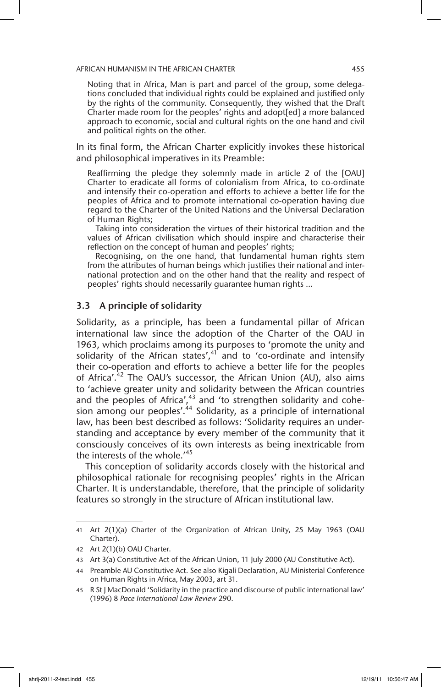Noting that in Africa, Man is part and parcel of the group, some delegations concluded that individual rights could be explained and justified only by the rights of the community. Consequently, they wished that the Draft Charter made room for the peoples' rights and adopt[ed] a more balanced approach to economic, social and cultural rights on the one hand and civil and political rights on the other.

In its final form, the African Charter explicitly invokes these historical and philosophical imperatives in its Preamble:

Reaffirming the pledge they solemnly made in article 2 of the [OAU] Charter to eradicate all forms of colonialism from Africa, to co-ordinate and intensify their co-operation and efforts to achieve a better life for the peoples of Africa and to promote international co-operation having due regard to the Charter of the United Nations and the Universal Declaration of Human Rights;

Taking into consideration the virtues of their historical tradition and the values of African civilisation which should inspire and characterise their reflection on the concept of human and peoples' rights;

Recognising, on the one hand, that fundamental human rights stem from the attributes of human beings which justifies their national and international protection and on the other hand that the reality and respect of peoples' rights should necessarily guarantee human rights …

### 3.3 A principle of solidarity

Solidarity, as a principle, has been a fundamental pillar of African international law since the adoption of the Charter of the OAU in 1963, which proclaims among its purposes to 'promote the unity and solidarity of the African states', $41$  and to 'co-ordinate and intensify their co-operation and efforts to achieve a better life for the peoples of Africa'.<sup>42</sup> The OAU's successor, the African Union (AU), also aims to 'achieve greater unity and solidarity between the African countries and the peoples of Africa', $43$  and 'to strengthen solidarity and cohesion among our peoples'.<sup>44</sup> Solidarity, as a principle of international law, has been best described as follows: 'Solidarity requires an understanding and acceptance by every member of the community that it consciously conceives of its own interests as being inextricable from the interests of the whole.'<sup>45</sup>

This conception of solidarity accords closely with the historical and philosophical rationale for recognising peoples' rights in the African Charter. It is understandable, therefore, that the principle of solidarity features so strongly in the structure of African institutional law.

<sup>41</sup> Art 2(1)(a) Charter of the Organization of African Unity, 25 May 1963 (OAU Charter).

<sup>42</sup> Art 2(1)(b) OAU Charter.

<sup>43</sup> Art 3(a) Constitutive Act of the African Union, 11 July 2000 (AU Constitutive Act).

<sup>44</sup> Preamble AU Constitutive Act. See also Kigali Declaration, AU Ministerial Conference on Human Rights in Africa, May 2003, art 31.

<sup>45</sup> R St J MacDonald 'Solidarity in the practice and discourse of public international law' (1996) 8 *Pace International Law Review* 290.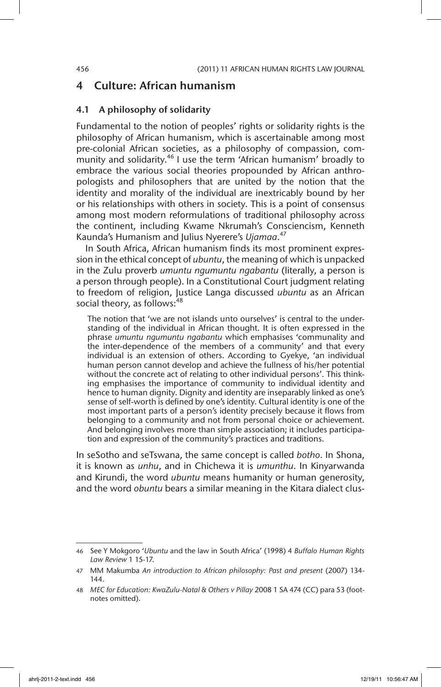### 4 Culture: African humanism

#### 4.1 A philosophy of solidarity

Fundamental to the notion of peoples' rights or solidarity rights is the philosophy of African humanism, which is ascertainable among most pre-colonial African societies, as a philosophy of compassion, community and solidarity.<sup>46</sup> I use the term 'African humanism' broadly to embrace the various social theories propounded by African anthropologists and philosophers that are united by the notion that the identity and morality of the individual are inextricably bound by her or his relationships with others in society. This is a point of consensus among most modern reformulations of traditional philosophy across the continent, including Kwame Nkrumah's Consciencism, Kenneth Kaunda's Humanism and Julius Nyerere's *Ujamaa*. 47

In South Africa, African humanism finds its most prominent expression in the ethical concept of *ubuntu*, the meaning of which is unpacked in the Zulu proverb *umuntu ngumuntu ngabantu* (literally, a person is a person through people). In a Constitutional Court judgment relating to freedom of religion, Justice Langa discussed *ubuntu* as an African social theory, as follows: $48$ 

The notion that 'we are not islands unto ourselves' is central to the understanding of the individual in African thought. It is often expressed in the phrase *umuntu ngumuntu ngabantu* which emphasises 'communality and the inter-dependence of the members of a community' and that every individual is an extension of others. According to Gyekye, 'an individual human person cannot develop and achieve the fullness of his/her potential without the concrete act of relating to other individual persons'. This thinking emphasises the importance of community to individual identity and hence to human dignity. Dignity and identity are inseparably linked as one's sense of self-worth is defined by one's identity. Cultural identity is one of the most important parts of a person's identity precisely because it flows from belonging to a community and not from personal choice or achievement. And belonging involves more than simple association; it includes participation and expression of the community's practices and traditions.

In seSotho and seTswana, the same concept is called *botho*. In Shona, it is known as *unhu*, and in Chichewa it is *umunthu*. In Kinyarwanda and Kirundi, the word *ubuntu* means humanity or human generosity, and the word *obuntu* bears a similar meaning in the Kitara dialect clus-

<sup>46</sup> See Y Mokgoro '*Ubuntu* and the law in South Africa' (1998) 4 *Buffalo Human Rights Law Review* 1 15-17.

<sup>47</sup> MM Makumba *An introduction to African philosophy: Past and present* (2007) 134- 144.

<sup>48</sup> *MEC for Education: KwaZulu-Natal & Others v Pillay* 2008 1 SA 474 (CC) para 53 (footnotes omitted).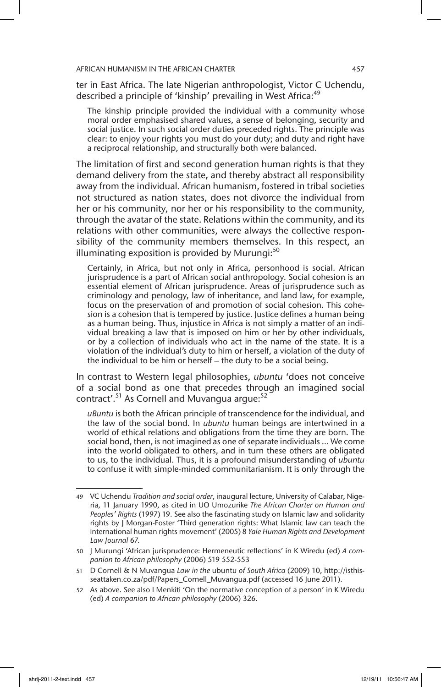ter in East Africa. The late Nigerian anthropologist, Victor C Uchendu, described a principle of 'kinship' prevailing in West Africa:<sup>49</sup>

The kinship principle provided the individual with a community whose moral order emphasised shared values, a sense of belonging, security and social justice. In such social order duties preceded rights. The principle was clear: to enjoy your rights you must do your duty; and duty and right have a reciprocal relationship, and structurally both were balanced.

The limitation of first and second generation human rights is that they demand delivery from the state, and thereby abstract all responsibility away from the individual. African humanism, fostered in tribal societies not structured as nation states, does not divorce the individual from her or his community, nor her or his responsibility to the community, through the avatar of the state. Relations within the community, and its relations with other communities, were always the collective responsibility of the community members themselves. In this respect, an illuminating exposition is provided by Murungi: $50$ 

Certainly, in Africa, but not only in Africa, personhood is social. African jurisprudence is a part of African social anthropology. Social cohesion is an essential element of African jurisprudence. Areas of jurisprudence such as criminology and penology, law of inheritance, and land law, for example, focus on the preservation of and promotion of social cohesion. This cohesion is a cohesion that is tempered by justice. Justice defines a human being as a human being. Thus, injustice in Africa is not simply a matter of an individual breaking a law that is imposed on him or her by other individuals, or by a collection of individuals who act in the name of the state. It is a violation of the individual's duty to him or herself, a violation of the duty of the individual to be him or herself – the duty to be a social being.

In contrast to Western legal philosophies, *ubuntu* 'does not conceive of a social bond as one that precedes through an imagined social contract'.<sup>51</sup> As Cornell and Muvangua argue:<sup>52</sup>

*uBuntu* is both the African principle of transcendence for the individual, and the law of the social bond. In *ubuntu* human beings are intertwined in a world of ethical relations and obligations from the time they are born. The social bond, then, is not imagined as one of separate individuals … We come into the world obligated to others, and in turn these others are obligated to us, to the individual. Thus, it is a profound misunderstanding of *ubuntu* to confuse it with simple-minded communitarianism. It is only through the

<sup>49</sup> VC Uchendu *Tradition and social order*, inaugural lecture, University of Calabar, Nigeria, 11 January 1990, as cited in UO Umozurike *The African Charter on Human and Peoples' Rights* (1997) 19. See also the fascinating study on Islamic law and solidarity rights by J Morgan-Foster 'Third generation rights: What Islamic law can teach the international human rights movement' (2005) 8 *Yale Human Rights and Development Law Journal* 67.

<sup>50</sup> J Murungi 'African jurisprudence: Hermeneutic reflections' in K Wiredu (ed) *A companion to African philosophy* (2006) 519 552-553

<sup>51</sup> D Cornell & N Muvangua *Law in the* ubuntu *of South Africa* (2009) 10, http://isthisseattaken.co.za/pdf/Papers\_Cornell\_Muvangua.pdf (accessed 16 June 2011).

<sup>52</sup> As above. See also I Menkiti 'On the normative conception of a person' in K Wiredu (ed) *A companion to African philosophy* (2006) 326.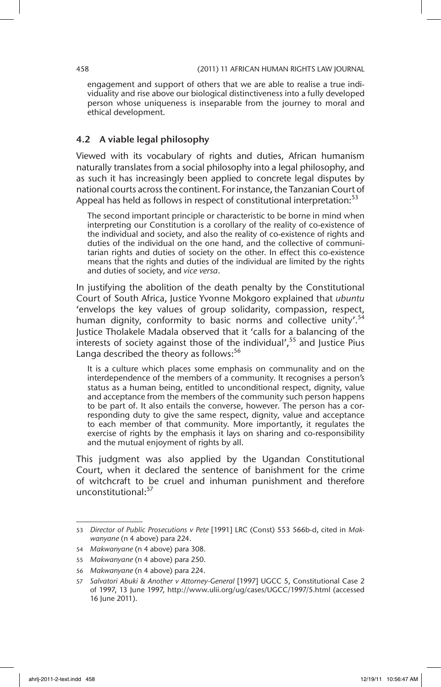engagement and support of others that we are able to realise a true individuality and rise above our biological distinctiveness into a fully developed person whose uniqueness is inseparable from the journey to moral and ethical development.

### 4.2 A viable legal philosophy

Viewed with its vocabulary of rights and duties, African humanism naturally translates from a social philosophy into a legal philosophy, and as such it has increasingly been applied to concrete legal disputes by national courts across the continent. For instance, the Tanzanian Court of Appeal has held as follows in respect of constitutional interpretation: $53$ 

The second important principle or characteristic to be borne in mind when interpreting our Constitution is a corollary of the reality of co-existence of the individual and society, and also the reality of co-existence of rights and duties of the individual on the one hand, and the collective of communitarian rights and duties of society on the other. In effect this co-existence means that the rights and duties of the individual are limited by the rights and duties of society, and *vice versa*.

In justifying the abolition of the death penalty by the Constitutional Court of South Africa, Justice Yvonne Mokgoro explained that *ubuntu* 'envelops the key values of group solidarity, compassion, respect, human dignity, conformity to basic norms and collective unity'.<sup>54</sup> Justice Tholakele Madala observed that it 'calls for a balancing of the interests of society against those of the individual',  $55$  and Justice Pius Langa described the theory as follows:<sup>56</sup>

It is a culture which places some emphasis on communality and on the interdependence of the members of a community. It recognises a person's status as a human being, entitled to unconditional respect, dignity, value and acceptance from the members of the community such person happens to be part of. It also entails the converse, however. The person has a corresponding duty to give the same respect, dignity, value and acceptance to each member of that community. More importantly, it regulates the exercise of rights by the emphasis it lays on sharing and co-responsibility and the mutual enjoyment of rights by all.

This judgment was also applied by the Ugandan Constitutional Court, when it declared the sentence of banishment for the crime of witchcraft to be cruel and inhuman punishment and therefore unconstitutional: 57

<sup>53</sup> *Director of Public Prosecutions v Pete* [1991] LRC (Const) 553 566b-d, cited in *Makwanyane* (n 4 above) para 224.

<sup>54</sup> *Makwanyane* (n 4 above) para 308.

<sup>55</sup> *Makwanyane* (n 4 above) para 250.

<sup>56</sup> *Makwanyane* (n 4 above) para 224.

<sup>57</sup> *Salvatori Abuki & Another v Attorney-General* [1997] UGCC 5, Constitutional Case 2 of 1997, 13 June 1997, http://www.ulii.org/ug/cases/UGCC/1997/5.html (accessed 16 June 2011).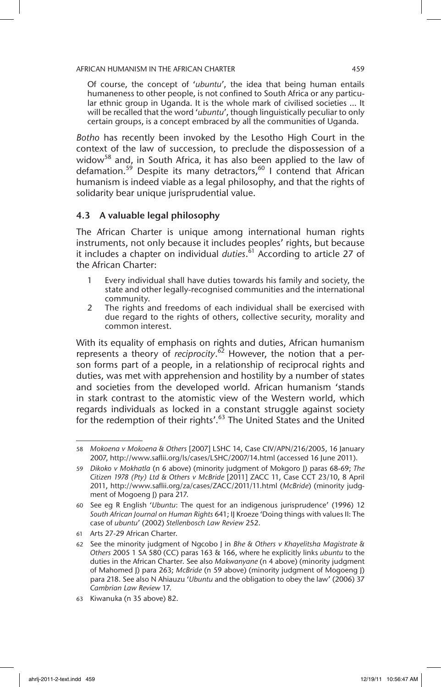Of course, the concept of '*ubuntu*', the idea that being human entails humaneness to other people, is not confined to South Africa or any particular ethnic group in Uganda. It is the whole mark of civilised societies … It will be recalled that the word '*ubuntu*', though linguistically peculiar to only certain groups, is a concept embraced by all the communities of Uganda.

*Botho* has recently been invoked by the Lesotho High Court in the context of the law of succession, to preclude the dispossession of a widow<sup>58</sup> and, in South Africa, it has also been applied to the law of defamation.<sup>59</sup> Despite its many detractors,<sup>60</sup> I contend that African humanism is indeed viable as a legal philosophy, and that the rights of solidarity bear unique jurisprudential value.

### 4.3 A valuable legal philosophy

The African Charter is unique among international human rights instruments, not only because it includes peoples' rights, but because it includes a chapter on individual *duties*. 61 According to article 27 of the African Charter:

- 1 Every individual shall have duties towards his family and society, the state and other legally-recognised communities and the international community.
- 2 The rights and freedoms of each individual shall be exercised with due regard to the rights of others, collective security, morality and common interest.

With its equality of emphasis on rights and duties, African humanism represents a theory of *reciprocity*. 62 However, the notion that a person forms part of a people, in a relationship of reciprocal rights and duties, was met with apprehension and hostility by a number of states and societies from the developed world. African humanism 'stands in stark contrast to the atomistic view of the Western world, which regards individuals as locked in a constant struggle against society for the redemption of their rights'.<sup>63</sup> The United States and the United

<sup>58</sup> *Mokoena v Mokoena & Others* [2007] LSHC 14, Case CIV/APN/216/2005, 16 January 2007, http://www.saflii.org/ls/cases/LSHC/2007/14.html (accessed 16 June 2011).

<sup>59</sup> *Dikoko v Mokhatla* (n 6 above) (minority judgment of Mokgoro J) paras 68-69; *The Citizen 1978 (Pty) Ltd & Others v McBride* [2011] ZACC 11, Case CCT 23/10, 8 April 2011, http://www.saflii.org/za/cases/ZACC/2011/11.html (*McBride*) (minority judgment of Mogoeng J) para 217.

<sup>60</sup> See eg R English '*Ubuntu*: The quest for an indigenous jurisprudence' (1996) 12 *South African Journal on Human Rights* 641; IJ Kroeze 'Doing things with values II: The case of *ubuntu*' (2002) *Stellenbosch Law Review* 252.

<sup>61</sup> Arts 27-29 African Charter.

<sup>62</sup> See the minority judgment of Ngcobo J in *Bhe & Others v Khayelitsha Magistrate & Others* 2005 1 SA 580 (CC) paras 163 & 166, where he explicitly links *ubuntu* to the duties in the African Charter. See also *Makwanyane* (n 4 above) (minority judgment of Mahomed J) para 263; *McBride* (n 59 above) (minority judgment of Mogoeng J) para 218. See also N Ahiauzu '*Ubuntu* and the obligation to obey the law' (2006) 37 *Cambrian Law Review* 17.

<sup>63</sup> Kiwanuka (n 35 above) 82.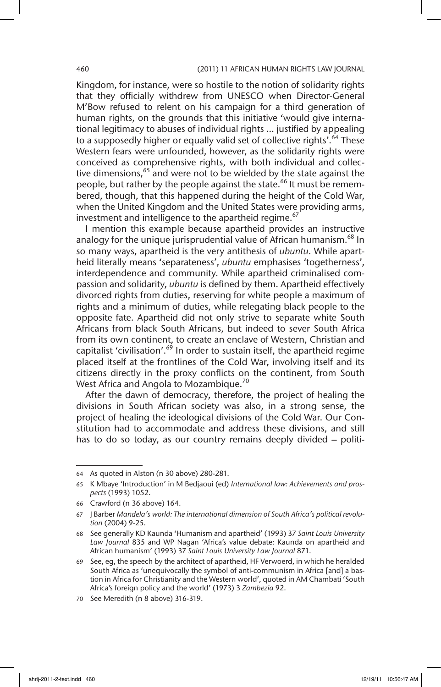#### 460 (2011) 11 AFRICAN HUMAN RIGHTS LAW JOURNAL

Kingdom, for instance, were so hostile to the notion of solidarity rights that they officially withdrew from UNESCO when Director-General M'Bow refused to relent on his campaign for a third generation of human rights, on the grounds that this initiative 'would give international legitimacy to abuses of individual rights … justified by appealing to a supposedly higher or equally valid set of collective rights'.<sup>64</sup> These Western fears were unfounded, however, as the solidarity rights were conceived as comprehensive rights, with both individual and collective dimensions,  $65$  and were not to be wielded by the state against the people, but rather by the people against the state.<sup>66</sup> It must be remembered, though, that this happened during the height of the Cold War, when the United Kingdom and the United States were providing arms, investment and intelligence to the apartheid regime.<sup>67</sup>

I mention this example because apartheid provides an instructive analogy for the unique jurisprudential value of African humanism.<sup>68</sup> In so many ways, apartheid is the very antithesis of *ubuntu*. While apartheid literally means 'separateness', *ubuntu* emphasises 'togetherness', interdependence and community. While apartheid criminalised compassion and solidarity, *ubuntu* is defined by them. Apartheid effectively divorced rights from duties, reserving for white people a maximum of rights and a minimum of duties, while relegating black people to the opposite fate. Apartheid did not only strive to separate white South Africans from black South Africans, but indeed to sever South Africa from its own continent, to create an enclave of Western, Christian and capitalist 'civilisation'.<sup>69</sup> In order to sustain itself, the apartheid regime placed itself at the frontlines of the Cold War, involving itself and its citizens directly in the proxy conflicts on the continent, from South West Africa and Angola to Mozambique.<sup>70</sup>

After the dawn of democracy, therefore, the project of healing the divisions in South African society was also, in a strong sense, the project of healing the ideological divisions of the Cold War. Our Constitution had to accommodate and address these divisions, and still has to do so today, as our country remains deeply divided – politi-

<sup>64</sup> As quoted in Alston (n 30 above) 280-281.

<sup>65</sup> K Mbaye 'Introduction' in M Bedjaoui (ed) *International law: Achievements and prospects* (1993) 1052.

<sup>66</sup> Crawford (n 36 above) 164.

<sup>67</sup> J Barber *Mandela's world: The international dimension of South Africa's political revolution* (2004) 9-25.

<sup>68</sup> See generally KD Kaunda 'Humanism and apartheid' (1993) 37 *Saint Louis University Law Journal* 835 and WP Nagan 'Africa's value debate: Kaunda on apartheid and African humanism' (1993) 37 *Saint Louis University Law Journal* 871.

<sup>69</sup> See, eg, the speech by the architect of apartheid, HF Verwoerd, in which he heralded South Africa as 'unequivocally the symbol of anti-communism in Africa [and] a bastion in Africa for Christianity and the Western world', quoted in AM Chambati 'South Africa's foreign policy and the world' (1973) 3 *Zambezia* 92.

<sup>70</sup> See Meredith (n 8 above) 316-319.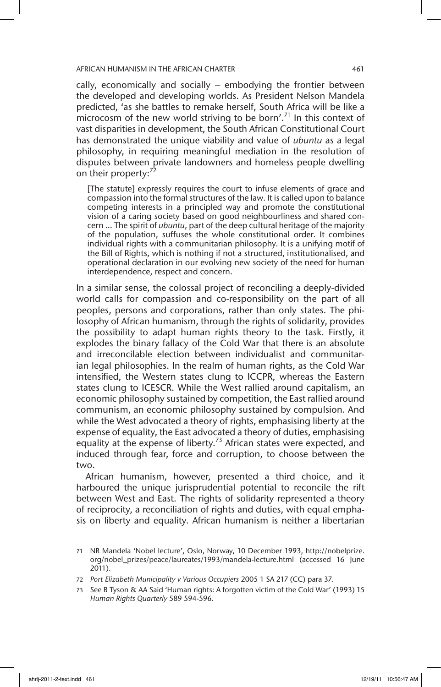cally, economically and socially – embodying the frontier between the developed and developing worlds. As President Nelson Mandela predicted, 'as she battles to remake herself, South Africa will be like a microcosm of the new world striving to be born'.<sup>71</sup> In this context of vast disparities in development, the South African Constitutional Court has demonstrated the unique viability and value of *ubuntu* as a legal philosophy, in requiring meaningful mediation in the resolution of disputes between private landowners and homeless people dwelling on their property:<sup>72</sup>

[The statute] expressly requires the court to infuse elements of grace and compassion into the formal structures of the law. It is called upon to balance competing interests in a principled way and promote the constitutional vision of a caring society based on good neighbourliness and shared concern … The spirit of *ubuntu*, part of the deep cultural heritage of the majority of the population, suffuses the whole constitutional order. It combines individual rights with a communitarian philosophy. It is a unifying motif of the Bill of Rights, which is nothing if not a structured, institutionalised, and operational declaration in our evolving new society of the need for human interdependence, respect and concern.

In a similar sense, the colossal project of reconciling a deeply-divided world calls for compassion and co-responsibility on the part of all peoples, persons and corporations, rather than only states. The philosophy of African humanism, through the rights of solidarity, provides the possibility to adapt human rights theory to the task. Firstly, it explodes the binary fallacy of the Cold War that there is an absolute and irreconcilable election between individualist and communitarian legal philosophies. In the realm of human rights, as the Cold War intensified, the Western states clung to ICCPR, whereas the Eastern states clung to ICESCR. While the West rallied around capitalism, an economic philosophy sustained by competition, the East rallied around communism, an economic philosophy sustained by compulsion. And while the West advocated a theory of rights, emphasising liberty at the expense of equality, the East advocated a theory of duties, emphasising equality at the expense of liberty.<sup>73</sup> African states were expected, and induced through fear, force and corruption, to choose between the two.

African humanism, however, presented a third choice, and it harboured the unique jurisprudential potential to reconcile the rift between West and East. The rights of solidarity represented a theory of reciprocity, a reconciliation of rights and duties, with equal emphasis on liberty and equality. African humanism is neither a libertarian

<sup>71</sup> NR Mandela 'Nobel lecture', Oslo, Norway, 10 December 1993, http://nobelprize. org/nobel\_prizes/peace/laureates/1993/mandela-lecture.html (accessed 16 June 2011).

<sup>72</sup> *Port Elizabeth Municipality v Various Occupiers* 2005 1 SA 217 (CC) para 37.

<sup>73</sup> See B Tyson & AA Said 'Human rights: A forgotten victim of the Cold War' (1993) 15 *Human Rights Quarterly* 589 594-596.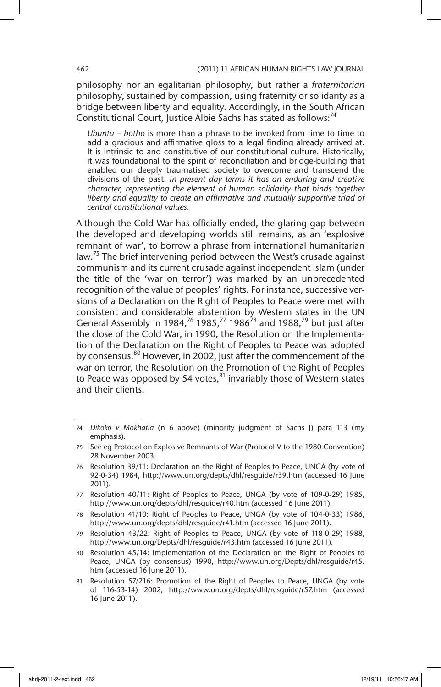philosophy nor an egalitarian philosophy, but rather a *fraternitarian*  philosophy, sustained by compassion, using fraternity or solidarity as a bridge between liberty and equality. Accordingly, in the South African Constitutional Court, Justice Albie Sachs has stated as follows:<sup>74</sup>

*Ubuntu – botho* is more than a phrase to be invoked from time to time to add a gracious and affirmative gloss to a legal finding already arrived at. It is intrinsic to and constitutive of our constitutional culture. Historically, it was foundational to the spirit of reconciliation and bridge-building that enabled our deeply traumatised society to overcome and transcend the divisions of the past. *In present day terms it has an enduring and creative character, representing the element of human solidarity that binds together liberty and equality to create an affirmative and mutually supportive triad of central constitutional values.*

Although the Cold War has officially ended, the glaring gap between the developed and developing worlds still remains, as an 'explosive remnant of war', to borrow a phrase from international humanitarian law.<sup>75</sup> The brief intervening period between the West's crusade against communism and its current crusade against independent Islam (under the title of the 'war on terror') was marked by an unprecedented recognition of the value of peoples' rights. For instance, successive versions of a Declaration on the Right of Peoples to Peace were met with consistent and considerable abstention by Western states in the UN General Assembly in 1984,<sup>76</sup> 1985,<sup>77</sup> 1986<sup>78</sup> and 1988,<sup>79</sup> but just after the close of the Cold War, in 1990, the Resolution on the Implementation of the Declaration on the Right of Peoples to Peace was adopted by consensus.<sup>80</sup> However, in 2002, just after the commencement of the war on terror, the Resolution on the Promotion of the Right of Peoples to Peace was opposed by 54 votes, $81$  invariably those of Western states and their clients.

<sup>74</sup> *Dikoko v Mokhatla* (n 6 above) (minority judgment of Sachs J) para 113 (my emphasis).

<sup>75</sup> See eg Protocol on Explosive Remnants of War (Protocol V to the 1980 Convention) 28 November 2003.

<sup>76</sup> Resolution 39/11: Declaration on the Right of Peoples to Peace, UNGA (by vote of 92-0-34) 1984, http://www.un.org/depts/dhl/resguide/r39.htm (accessed 16 June 2011).

<sup>77</sup> Resolution 40/11: Right of Peoples to Peace, UNGA (by vote of 109-0-29) 1985, http://www.un.org/depts/dhl/resguide/r40.htm (accessed 16 June 2011).

<sup>78</sup> Resolution 41/10: Right of Peoples to Peace, UNGA (by vote of 104-0-33) 1986, http://www.un.org/depts/dhl/resguide/r41.htm (accessed 16 June 2011).

<sup>79</sup> Resolution 43/22: Right of Peoples to Peace, UNGA (by vote of 118-0-29) 1988, http://www.un.org/Depts/dhl/resguide/r43.htm (accessed 16 June 2011).

<sup>80</sup> Resolution 45/14: Implementation of the Declaration on the Right of Peoples to Peace, UNGA (by consensus) 1990, http://www.un.org/Depts/dhl/resguide/r45. htm (accessed 16 June 2011).

<sup>81</sup> Resolution 57/216: Promotion of the Right of Peoples to Peace, UNGA (by vote of 116-53-14) 2002, http://www.un.org/depts/dhl/resguide/r57.htm (accessed 16 June 2011).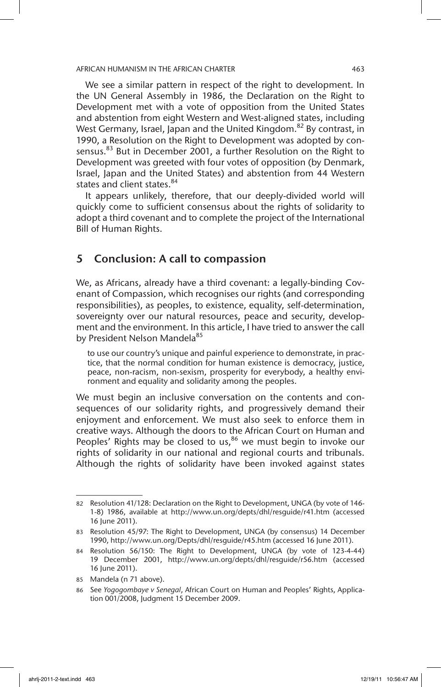We see a similar pattern in respect of the right to development. In the UN General Assembly in 1986, the Declaration on the Right to Development met with a vote of opposition from the United States and abstention from eight Western and West-aligned states, including West Germany, Israel, Japan and the United Kingdom.<sup>82</sup> By contrast, in 1990, a Resolution on the Right to Development was adopted by consensus.<sup>83</sup> But in December 2001, a further Resolution on the Right to Development was greeted with four votes of opposition (by Denmark, Israel, Japan and the United States) and abstention from 44 Western states and client states.<sup>84</sup>

It appears unlikely, therefore, that our deeply-divided world will quickly come to sufficient consensus about the rights of solidarity to adopt a third covenant and to complete the project of the International Bill of Human Rights.

# 5 Conclusion: A call to compassion

We, as Africans, already have a third covenant: a legally-binding Covenant of Compassion, which recognises our rights (and corresponding responsibilities), as peoples, to existence, equality, self-determination, sovereignty over our natural resources, peace and security, development and the environment. In this article, I have tried to answer the call by President Nelson Mandela<sup>85</sup>

to use our country's unique and painful experience to demonstrate, in practice, that the normal condition for human existence is democracy, justice, peace, non-racism, non-sexism, prosperity for everybody, a healthy environment and equality and solidarity among the peoples.

We must begin an inclusive conversation on the contents and consequences of our solidarity rights, and progressively demand their enjoyment and enforcement. We must also seek to enforce them in creative ways. Although the doors to the African Court on Human and Peoples' Rights may be closed to us, $86$  we must begin to invoke our rights of solidarity in our national and regional courts and tribunals. Although the rights of solidarity have been invoked against states

<sup>82</sup> Resolution 41/128: Declaration on the Right to Development, UNGA (by vote of 146- 1-8) 1986, available at http://www.un.org/depts/dhl/resguide/r41.htm (accessed 16 June 2011).

<sup>83</sup> Resolution 45/97: The Right to Development, UNGA (by consensus) 14 December 1990, http://www.un.org/Depts/dhl/resguide/r45.htm (accessed 16 June 2011).

<sup>84</sup> Resolution 56/150: The Right to Development, UNGA (by vote of 123-4-44) 19 December 2001, http://www.un.org/depts/dhl/resguide/r56.htm (accessed 16 June 2011).

<sup>85</sup> Mandela (n 71 above).

<sup>86</sup> See *Yogogombaye v Senegal*, African Court on Human and Peoples' Rights, Application 001/2008, Judgment 15 December 2009.